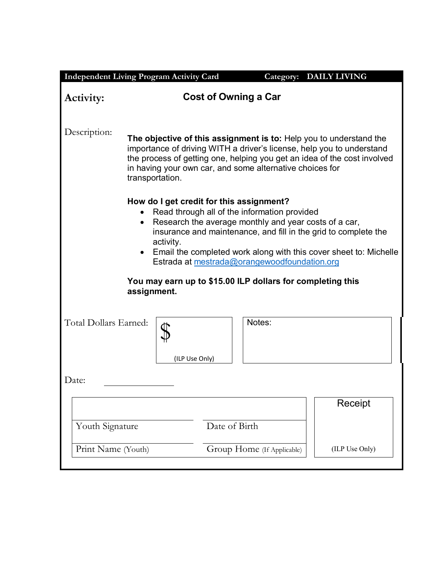| <b>Independent Living Program Activity Card</b> |                                                                                                                                                                                                                                                                                                        |                            | Category: DAILY LIVING                                                                                                               |  |  |
|-------------------------------------------------|--------------------------------------------------------------------------------------------------------------------------------------------------------------------------------------------------------------------------------------------------------------------------------------------------------|----------------------------|--------------------------------------------------------------------------------------------------------------------------------------|--|--|
| <b>Cost of Owning a Car</b><br>Activity:        |                                                                                                                                                                                                                                                                                                        |                            |                                                                                                                                      |  |  |
| Description:                                    | The objective of this assignment is to: Help you to understand the<br>importance of driving WITH a driver's license, help you to understand<br>the process of getting one, helping you get an idea of the cost involved<br>in having your own car, and some alternative choices for<br>transportation. |                            |                                                                                                                                      |  |  |
| $\bullet$                                       | How do I get credit for this assignment?<br>Read through all of the information provided<br>Research the average monthly and year costs of a car,<br>activity.<br>Estrada at mestrada@orangewoodfoundation.org<br>You may earn up to \$15.00 ILP dollars for completing this                           |                            | insurance and maintenance, and fill in the grid to complete the<br>Email the completed work along with this cover sheet to: Michelle |  |  |
|                                                 | assignment.                                                                                                                                                                                                                                                                                            |                            |                                                                                                                                      |  |  |
| Total Dollars Earned:                           | (ILP Use Only)                                                                                                                                                                                                                                                                                         | Notes:                     |                                                                                                                                      |  |  |
| Date:                                           |                                                                                                                                                                                                                                                                                                        |                            |                                                                                                                                      |  |  |
|                                                 |                                                                                                                                                                                                                                                                                                        |                            | Receipt                                                                                                                              |  |  |
| Youth Signature                                 | Date of Birth                                                                                                                                                                                                                                                                                          |                            |                                                                                                                                      |  |  |
| Print Name (Youth)                              |                                                                                                                                                                                                                                                                                                        | Group Home (If Applicable) | (ILP Use Only)                                                                                                                       |  |  |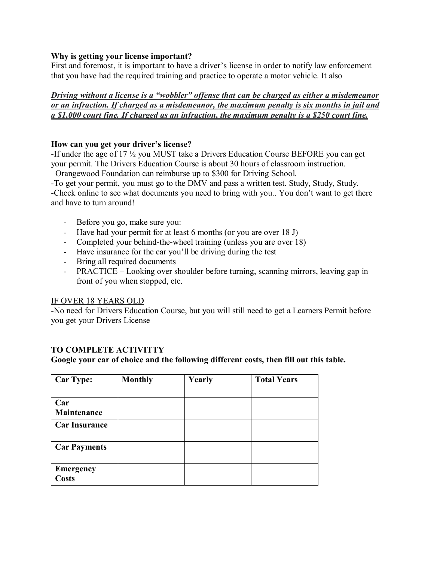## **Why is getting your license important?**

First and foremost, it is important to have a driver's license in order to notify law enforcement that you have had the required training and practice to operate a motor vehicle. It also

*Driving without a license is a "wobbler" offense that can be charged as either a misdemeanor or an infraction. If charged as a misdemeanor, the maximum penalty is six months in jail and a \$1,000 court fine. If charged as an infraction, the maximum penalty is a \$250 court fine.*

## **How can you get your driver's license?**

-If under the age of 17 ½ you MUST take a Drivers Education Course BEFORE you can get your permit. The Drivers Education Course is about 30 hours of classroom instruction. Orangewood Foundation can reimburse up to \$300 for Driving School.

-To get your permit, you must go to the DMV and pass a written test. Study, Study, Study. -Check online to see what documents you need to bring with you.. You don't want to get there

and have to turn around!

- Before you go, make sure you:
- Have had your permit for at least 6 months (or you are over 18 J)
- Completed your behind-the-wheel training (unless you are over 18)
- Have insurance for the car you'll be driving during the test
- Bring all required documents
- PRACTICE Looking over shoulder before turning, scanning mirrors, leaving gap in front of you when stopped, etc.

## IF OVER 18 YEARS OLD

-No need for Drivers Education Course, but you will still need to get a Learners Permit before you get your Drivers License

## **TO COMPLETE ACTIVITTY**

**Google your car of choice and the following different costs, then fill out this table.**

| <b>Car Type:</b>          | <b>Monthly</b> | Yearly | <b>Total Years</b> |
|---------------------------|----------------|--------|--------------------|
|                           |                |        |                    |
| Car                       |                |        |                    |
| Maintenance               |                |        |                    |
| <b>Car Insurance</b>      |                |        |                    |
| <b>Car Payments</b>       |                |        |                    |
| <b>Emergency</b><br>Costs |                |        |                    |